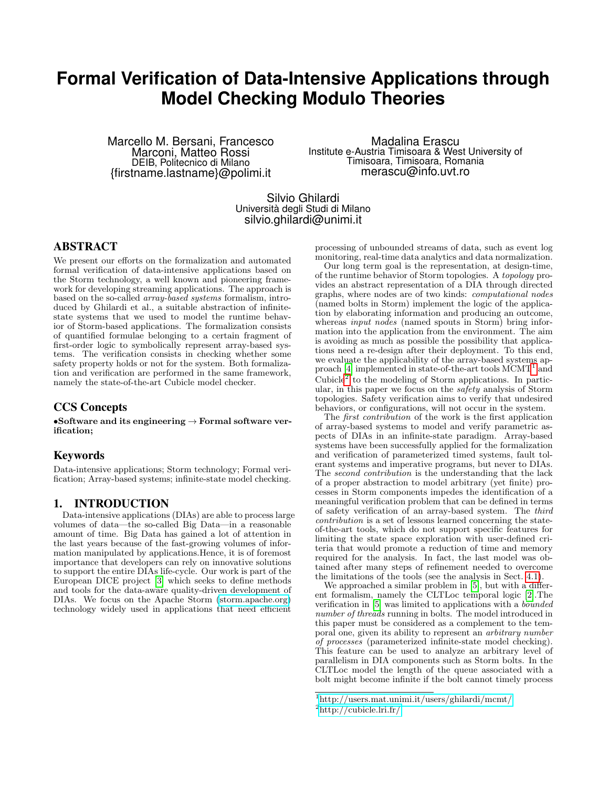# <span id="page-0-0"></span>**Formal Verification of Data-Intensive Applications through Model Checking Modulo Theories**

Marcello M. Bersani, Francesco Marconi, Matteo Rossi DEIB, Politecnico di Milano {firstname.lastname}@polimi.it

Madalina Erascu Institute e-Austria Timisoara & West University of Timisoara, Timisoara, Romania merascu@info.uvt.ro

# Silvio Ghilardi Università degli Studi di Milano silvio.ghilardi@unimi.it

# ABSTRACT

We present our efforts on the formalization and automated formal verification of data-intensive applications based on the Storm technology, a well known and pioneering framework for developing streaming applications. The approach is based on the so-called array-based systems formalism, introduced by Ghilardi et al., a suitable abstraction of infinitestate systems that we used to model the runtime behavior of Storm-based applications. The formalization consists of quantified formulae belonging to a certain fragment of first-order logic to symbolically represent array-based systems. The verification consists in checking whether some safety property holds or not for the system. Both formalization and verification are performed in the same framework, namely the state-of-the-art Cubicle model checker.

# CCS Concepts

•Software and its engineering  $\rightarrow$  Formal software verification;

## Keywords

Data-intensive applications; Storm technology; Formal verification; Array-based systems; infinite-state model checking.

## 1. INTRODUCTION

Data-intensive applications (DIAs) are able to process large volumes of data—the so-called Big Data—in a reasonable amount of time. Big Data has gained a lot of attention in the last years because of the fast-growing volumes of information manipulated by applications.Hence, it is of foremost importance that developers can rely on innovative solutions to support the entire DIAs life-cycle. Our work is part of the European DICE project [\[3\]](#page-3-0) which seeks to define methods and tools for the data-aware quality-driven development of DIAs. We focus on the Apache Storm [\(storm.apache.org\)](http://storm.apache.org/releases/current/Powered-By.html) technology widely used in applications that need efficient

processing of unbounded streams of data, such as event log monitoring, real-time data analytics and data normalization.

Our long term goal is the representation, at design-time, of the runtime behavior of Storm topologies. A topology provides an abstract representation of a DIA through directed graphs, where nodes are of two kinds: computational nodes (named bolts in Storm) implement the logic of the application by elaborating information and producing an outcome, whereas *input nodes* (named spouts in Storm) bring information into the application from the environment. The aim is avoiding as much as possible the possibility that applications need a re-design after their deployment. To this end, we evaluate the applicability of the array-based systems ap-proach [\[4\]](#page-3-1) implemented in state-of-the-art tools MCMT<sup>1</sup> and Cubicle<sup>2</sup> to the modeling of Storm applications. In particular, in this paper we focus on the safety analysis of Storm topologies. Safety verification aims to verify that undesired behaviors, or configurations, will not occur in the system.

The *first contribution* of the work is the first application of array-based systems to model and verify parametric aspects of DIAs in an infinite-state paradigm. Array-based systems have been successfully applied for the formalization and verification of parameterized timed systems, fault tolerant systems and imperative programs, but never to DIAs. The second contribution is the understanding that the lack of a proper abstraction to model arbitrary (yet finite) processes in Storm components impedes the identification of a meaningful verification problem that can be defined in terms of safety verification of an array-based system. The third contribution is a set of lessons learned concerning the stateof-the-art tools, which do not support specific features for limiting the state space exploration with user-defined criteria that would promote a reduction of time and memory required for the analysis. In fact, the last model was obtained after many steps of refinement needed to overcome the limitations of the tools (see the analysis in Sect. [4.1\)](#page-2-0).

We approached a similar problem in [\[5\]](#page-3-2), but with a different formalism, namely the CLTLoc temporal logic [\[2\]](#page-3-3).The verification in [\[5\]](#page-3-2) was limited to applications with a bounded number of threads running in bolts. The model introduced in this paper must be considered as a complement to the temporal one, given its ability to represent an arbitrary number of processes (parameterized infinite-state model checking). This feature can be used to analyze an arbitrary level of parallelism in DIA components such as Storm bolts. In the CLTLoc model the length of the queue associated with a bolt might become infinite if the bolt cannot timely process

<sup>1</sup><http://users.mat.unimi.it/users/ghilardi/mcmt/>  $^{2}$ <http://cubicle.lri.fr/>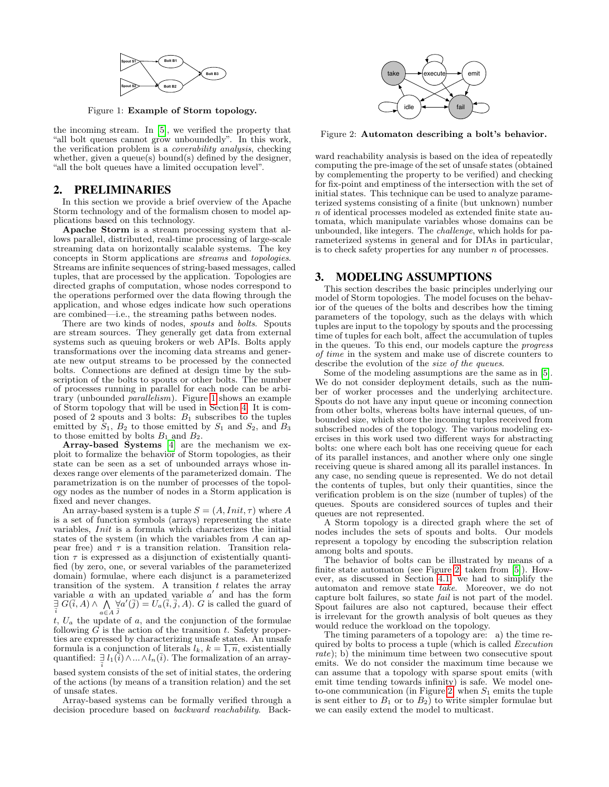<span id="page-1-0"></span>

Figure 1: Example of Storm topology.

the incoming stream. In [\[5\]](#page-3-2), we verified the property that "all bolt queues cannot grow unboundedly". In this work, the verification problem is a coverability analysis, checking whether, given a queue(s) bound(s) defined by the designer, "all the bolt queues have a limited occupation level".

## 2. PRELIMINARIES

In this section we provide a brief overview of the Apache Storm technology and of the formalism chosen to model applications based on this technology.

Apache Storm is a stream processing system that allows parallel, distributed, real-time processing of large-scale streaming data on horizontally scalable systems. The key concepts in Storm applications are streams and topologies. Streams are infinite sequences of string-based messages, called tuples, that are processed by the application. Topologies are directed graphs of computation, whose nodes correspond to the operations performed over the data flowing through the application, and whose edges indicate how such operations are combined—i.e., the streaming paths between nodes.

There are two kinds of nodes, spouts and bolts. Spouts are stream sources. They generally get data from external systems such as queuing brokers or web APIs. Bolts apply transformations over the incoming data streams and generate new output streams to be processed by the connected bolts. Connections are defined at design time by the subscription of the bolts to spouts or other bolts. The number of processes running in parallel for each node can be arbitrary (unbounded parallelism). Figure [1](#page-1-0) shows an example of Storm topology that will be used in Section [4.](#page-2-1) It is composed of 2 spouts and 3 bolts:  $B_1$  subscribes to the tuples emitted by  $S_1$ ,  $B_2$  to those emitted by  $S_1$  and  $S_2$ , and  $B_3$ to those emitted by bolts  $B_1$  and  $B_2$ .

Array-based Systems [\[4\]](#page-3-1) are the mechanism we exploit to formalize the behavior of Storm topologies, as their state can be seen as a set of unbounded arrays whose indexes range over elements of the parameterized domain. The parametrization is on the number of processes of the topology nodes as the number of nodes in a Storm application is fixed and never changes.

An array-based system is a tuple  $S = (A,Init, \tau)$  where A is a set of function symbols (arrays) representing the state variables, Init is a formula which characterizes the initial states of the system (in which the variables from A can appear free) and  $\tau$  is a transition relation. Transition relation  $\tau$  is expressed as a disjunction of existentially quantified (by zero, one, or several variables of the parameterized domain) formulae, where each disjunct is a parameterized transition of the system. A transition  $t$  relates the array variable  $a$  with an updated variable  $a'$  and has the form  $\frac{1}{i} G(\overline{i}, A) \wedge \bigwedge_{a \in A} \overline{j}^{a'}(\overline{j}) = U_a(\overline{i}, \overline{j}, A)$ . G is called the guard of

 $t, U_a$  the update of  $a$ , and the conjunction of the formulae following  $G$  is the action of the transition  $t$ . Safety properties are expressed by characterizing unsafe states. An unsafe formula is a conjunction of literals  $l_k$ ,  $k = \overline{1,n}$ , existentially quantified:  $\frac{\exists}{i} l_1(\overline{i}) \wedge ... \wedge l_n(\overline{i})$ . The formalization of an array-

based system consists of the set of initial states, the ordering of the actions (by means of a transition relation) and the set of unsafe states.

Array-based systems can be formally verified through a decision procedure based on backward reachability. Back-

<span id="page-1-1"></span>

Figure 2: Automaton describing a bolt's behavior.

ward reachability analysis is based on the idea of repeatedly computing the pre-image of the set of unsafe states (obtained by complementing the property to be verified) and checking for fix-point and emptiness of the intersection with the set of initial states. This technique can be used to analyze parameterized systems consisting of a finite (but unknown) number n of identical processes modeled as extended finite state automata, which manipulate variables whose domains can be unbounded, like integers. The challenge, which holds for parameterized systems in general and for DIAs in particular, is to check safety properties for any number  $n$  of processes.

#### <span id="page-1-2"></span>3. MODELING ASSUMPTIONS

This section describes the basic principles underlying our model of Storm topologies. The model focuses on the behavior of the queues of the bolts and describes how the timing parameters of the topology, such as the delays with which tuples are input to the topology by spouts and the processing time of tuples for each bolt, affect the accumulation of tuples in the queues. To this end, our models capture the progress of time in the system and make use of discrete counters to describe the evolution of the *size* of the queues.

Some of the modeling assumptions are the same as in [\[5\]](#page-3-2). We do not consider deployment details, such as the number of worker processes and the underlying architecture. Spouts do not have any input queue or incoming connection from other bolts, whereas bolts have internal queues, of unbounded size, which store the incoming tuples received from subscribed nodes of the topology. The various modeling exercises in this work used two different ways for abstracting bolts: one where each bolt has one receiving queue for each of its parallel instances, and another where only one single receiving queue is shared among all its parallel instances. In any case, no sending queue is represented. We do not detail the contents of tuples, but only their quantities, since the verification problem is on the size (number of tuples) of the queues. Spouts are considered sources of tuples and their queues are not represented.

A Storm topology is a directed graph where the set of nodes includes the sets of spouts and bolts. Our models represent a topology by encoding the subscription relation among bolts and spouts.

The behavior of bolts can be illustrated by means of a finite state automaton (see Figure [2,](#page-1-1) taken from [\[5\]](#page-3-2)). However, as discussed in Section [4.1,](#page-2-0) we had to simplify the automaton and remove state take. Moreover, we do not capture bolt failures, so state fail is not part of the model. Spout failures are also not captured, because their effect is irrelevant for the growth analysis of bolt queues as they would reduce the workload on the topology.

The timing parameters of a topology are: a) the time required by bolts to process a tuple (which is called *Execution* rate); b) the minimum time between two consecutive spout emits. We do not consider the maximum time because we can assume that a topology with sparse spout emits (with emit time tending towards infinity) is safe. We model one-to-one communication (in Figure [2,](#page-1-1) when  $S_1$  emits the tuple is sent either to  $B_1$  or to  $B_2$ ) to write simpler formulae but we can easily extend the model to multicast.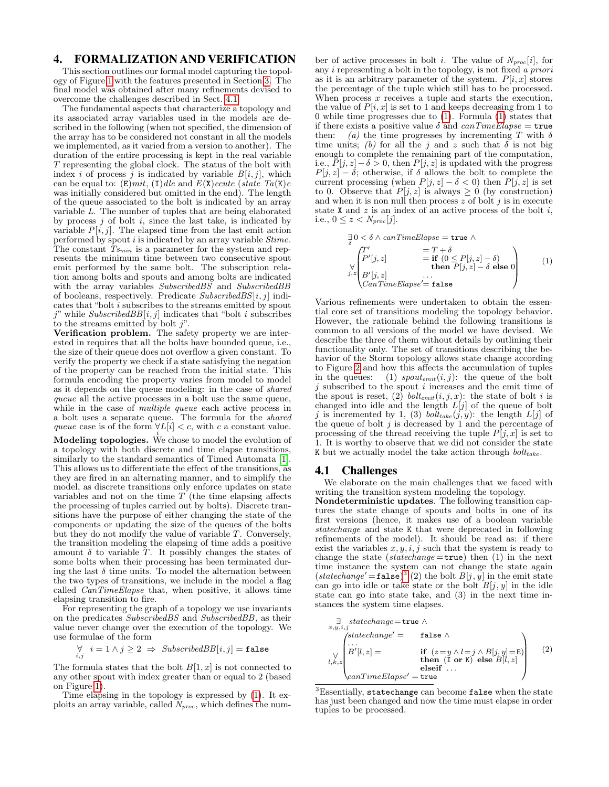# <span id="page-2-1"></span>4. FORMALIZATION AND VERIFICATION

This section outlines our formal model capturing the topology of Figure [1](#page-1-0) with the features presented in Section [3.](#page-1-2) The final model was obtained after many refinements devised to overcome the challenges described in Sect. [4.1.](#page-2-0)

The fundamental aspects that characterize a topology and its associated array variables used in the models are described in the following (when not specified, the dimension of the array has to be considered not constant in all the models we implemented, as it varied from a version to another). The duration of the entire processing is kept in the real variable T representing the global clock. The status of the bolt with index i of process  $\overline{j}$  is indicated by variable  $B[i, j]$ , which can be equal to:  $(E) mit$ ,  $(I)$  dle and  $E(X)$  ecute (state  $Ta(K)e$ was initially considered but omitted in the end). The length of the queue associated to the bolt is indicated by an array variable L. The number of tuples that are being elaborated by process  $j$  of bolt  $i$ , since the last take, is indicated by variable  $P[i, j]$ . The elapsed time from the last emit action performed by spout  $i$  is indicated by an array variable  $Stime$ . The constant  $Ts_{min}$  is a parameter for the system and represents the minimum time between two consecutive spout emit performed by the same bolt. The subscription relation among bolts and spouts and among bolts are indicated with the array variables SubscribedBS and SubscribedBB of booleans, respectively. Predicate  $SubscribedBS[i, j]$  indicates that "bolt i subscribes to the streams emitted by spout j" while  $SubscribedBB[i, j]$  indicates that "bolt i subscribes" to the streams emitted by bolt  $j$ ".

Verification problem. The safety property we are interested in requires that all the bolts have bounded queue, i.e., the size of their queue does not overflow a given constant. To verify the property we check if a state satisfying the negation of the property can be reached from the initial state. This formula encoding the property varies from model to model as it depends on the queue modeling: in the case of shared queue all the active processes in a bolt use the same queue, while in the case of multiple queue each active process in a bolt uses a separate queue. The formula for the shared queue case is of the form  $\forall L[i] < c$ , with c a constant value.

Modeling topologies. We chose to model the evolution of a topology with both discrete and time elapse transitions, similarly to the standard semantics of Timed Automata [\[1\]](#page-3-4). This allows us to differentiate the effect of the transitions, as they are fired in an alternating manner, and to simplify the model, as discrete transitions only enforce updates on state variables and not on the time  $T$  (the time elapsing affects the processing of tuples carried out by bolts). Discrete transitions have the purpose of either changing the state of the components or updating the size of the queues of the bolts but they do not modify the value of variable  $T$ . Conversely, the transition modeling the elapsing of time adds a positive amount  $\delta$  to variable T. It possibly changes the states of some bolts when their processing has been terminated during the last  $\delta$  time units. To model the alternation between the two types of transitions, we include in the model a flag called CanTimeElapse that, when positive, it allows time elapsing transition to fire.

For representing the graph of a topology we use invariants on the predicates SubscribedBS and SubscribedBB, as their value never change over the execution of the topology. We use formulae of the form

$$
\forall_{i,j} \hspace{2mm} i=1 \wedge j \geq 2 \ \Rightarrow \ \textit{SubscribedBB}[i,j] = \mathtt{false}
$$

The formula states that the bolt  $B[1, x]$  is not connected to any other spout with index greater than or equal to 2 (based on Figure [1\)](#page-1-0).

Time elapsing in the topology is expressed by [\(1\)](#page-2-2). It exploits an array variable, called  $N_{proc}$ , which defines the number of active processes in bolt *i*. The value of  $N_{proc}[i]$ , for any i representing a bolt in the topology, is not fixed a priori as it is an arbitrary parameter of the system.  $P[i, x]$  stores the percentage of the tuple which still has to be processed. When process  $x$  receives a tuple and starts the execution, the value of  $P[i, x]$  is set to 1 and keeps decreasing from 1 to 0 while time progresses due to [\(1\)](#page-2-2). Formula [\(1\)](#page-2-2) states that if there exists a positive value  $\delta$  and canTimeElapse = true<br>then: (a) the time progresses by incrementing T with  $\delta$ (a) the time progresses by incrementing T with  $\delta$ time units; (b) for all the j and z such that  $\delta$  is not big enough to complete the remaining part of the computation, i.e.,  $\tilde{P}[j, z] - \delta > 0$ , then  $P[j, z]$  is updated with the progress  $P[j, z] - \delta$ ; otherwise, if  $\delta$  allows the bolt to complete the current processing (when  $P[j, z] - \delta < 0$ ) then  $P[j, z]$  is set to 0. Observe that  $P[j, z]$  is always  $\geq 0$  (by construction) and when it is non null then process  $z$  of bolt  $j$  is in execute state X and  $z$  is an index of an active process of the bolt  $i$ , i.e.,  $0 \leq z < N_{proc}[j].$ 

<span id="page-2-2"></span>
$$
\begin{array}{ll}\n\exists 0 < \delta \land canTimeElapse = \text{true} \land \\
\delta > \left(\begin{matrix} T' & = T + \delta \\
P'[j, z] & = \text{if } (0 \le P[j, z] - \delta) \\
\text{then } P[j, z] - \delta \text{ else } 0 \\
\text{CanTimeElapse'} = \text{false}\n\end{matrix}\right) \\
\end{array} \tag{1}
$$

Various refinements were undertaken to obtain the essential core set of transitions modeling the topology behavior. However, the rationale behind the following transitions is common to all versions of the model we have devised. We describe the three of them without details by outlining their functionality only. The set of transitions describing the behavior of the Storm topology allows state change according to Figure [2](#page-1-1) and how this affects the accumulation of tuples in the queues: (1)  $spout_{emit}(i, j)$ : the queue of the bolt  $j$  subscribed to the spout  $i$  increases and the emit time of the spout is reset, (2)  $\text{bolt}_{\text{emit}}(i, j, x)$ : the state of bolt i is changed into idle and the length  $L[j]$  of the queue of bolt j is incremented by 1, (3)  $\text{bolt}_{\text{take}}(j, y)$ : the length  $L[j]$  of the queue of bolt  $j$  is decreased by 1 and the percentage of processing of the thread receiving the tuple  $P[i, x]$  is set to 1. It is worthy to observe that we did not consider the state K but we actually model the take action through  $bolt_{take}$ .

#### <span id="page-2-0"></span>4.1 Challenges

We elaborate on the main challenges that we faced with writing the transition system modeling the topology.

Nondeterministic updates. The following transition captures the state change of spouts and bolts in one of its first versions (hence, it makes use of a boolean variable statechange and state K that were deprecated in following refinements of the model). It should be read as: if there exist the variables  $x, y, i, j$  such that the system is ready to change the state (statechange= $true$ ) then (1) in the next time instance the system can not change the state again  $(statechange' = false)^{3}$  $(statechange' = false)^{3}$  $(statechange' = false)^{3}$  (2) the bolt  $B[j, y]$  in the emit state can go into idle or take state or the bolt  $B[j, y]$  in the idle state can go into state take, and (3) in the next time instances the system time elapses.

$$
\exists \text{ statechange} = \text{true } \land
$$
\n
$$
\forall \forall x, y, i, j
$$
\n
$$
\forall \forall x, z \in \mathbb{R} \land \exists f[l, z] = \text{if } (z = y \land l = j \land B[j, y] = E)
$$
\n
$$
\exists \forall i, k, z \text{ then } (I \text{ or } K) \text{ else } B[l, z]
$$
\n
$$
\exists \text{elseif } ...
$$
\n
$$
\exists \text{caseif } ...
$$
\n
$$
\exists \text{caseif } ...
$$
\n(2)

 ${}^{3}$ Essentially, statechange can become false when the state has just been changed and now the time must elapse in order tuples to be processed.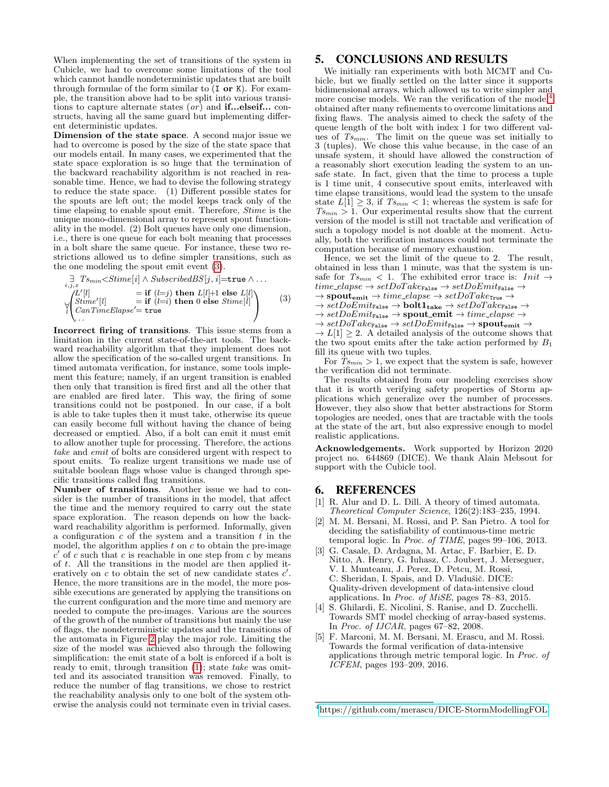When implementing the set of transitions of the system in Cubicle, we had to overcome some limitations of the tool which cannot handle nondeterministic updates that are built through formulae of the form similar to  $(I \text{ or } K)$ . For example, the transition above had to be split into various transitions to capture alternate states  $(or)$  and **if...elseif...** constructs, having all the same guard but implementing different deterministic updates.

Dimension of the state space. A second major issue we had to overcome is posed by the size of the state space that our models entail. In many cases, we experimented that the state space exploration is so huge that the termination of the backward reachability algorithm is not reached in reasonable time. Hence, we had to devise the following strategy to reduce the state space. (1) Different possible states for the spouts are left out; the model keeps track only of the time elapsing to enable spout emit. Therefore, Stime is the unique mono-dimensional array to represent spout functionality in the model. (2) Bolt queues have only one dimension, i.e., there is one queue for each bolt meaning that processes in a bolt share the same queue. For instance, these two restrictions allowed us to define simpler transitions, such as the one modeling the spout emit event [\(3\)](#page-3-5).

<span id="page-3-5"></span>∃ i,j,x Tsmin<Stime[i] ∧ SubscribedBS[j, i]=true ∧ . . . ∀ l L0 [l] = if (l=j) then L[l]+1 else L[l] Stime<sup>0</sup> [l] = if (l=i) then 0 else Stime[l] CanTimeElapse0= true . . . (3)

Incorrect firing of transitions. This issue stems from a limitation in the current state-of-the-art tools. The backward reachability algorithm that they implement does not allow the specification of the so-called urgent transitions. In timed automata verification, for instance, some tools implement this feature; namely, if an urgent transition is enabled then only that transition is fired first and all the other that are enabled are fired later. This way, the firing of some transitions could not be postponed. In our case, if a bolt is able to take tuples then it must take, otherwise its queue can easily become full without having the chance of being decreased or emptied. Also, if a bolt can emit it must emit to allow another tuple for processing. Therefore, the actions take and emit of bolts are considered urgent with respect to spout emits. To realize urgent transitions we made use of suitable boolean flags whose value is changed through specific transitions called flag transitions.

Number of transitions. Another issue we had to consider is the number of transitions in the model, that affect the time and the memory required to carry out the state space exploration. The reason depends on how the backward reachability algorithm is performed. Informally, given a configuration  $c$  of the system and a transition  $t$  in the model, the algorithm applies  $t$  on  $c$  to obtain the pre-image  $c'$  of c such that c is reachable in one step from c by means of t. All the transitions in the model are then applied iteratively on  $c$  to obtain the set of new candidate states  $c'$ . Hence, the more transitions are in the model, the more possible executions are generated by applying the transitions on the current configuration and the more time and memory are needed to compute the pre-images. Various are the sources of the growth of the number of transitions but mainly the use of flags, the nondeterministic updates and the transitions of the automata in Figure [2](#page-1-1) play the major role. Limiting the size of the model was achieved also through the following simplification: the emit state of a bolt is enforced if a bolt is ready to emit, through transition  $(1)$ ; state take was omitted and its associated transition was removed. Finally, to reduce the number of flag transitions, we chose to restrict the reachability analysis only to one bolt of the system otherwise the analysis could not terminate even in trivial cases.

# 5. CONCLUSIONS AND RESULTS

We initially ran experiments with both MCMT and Cubicle, but we finally settled on the latter since it supports bidimensional arrays, which allowed us to write simpler and more concise models. We ran the verification of the model<sup>[4](#page-0-0)</sup> obtained after many refinements to overcome limitations and fixing flaws. The analysis aimed to check the safety of the queue length of the bolt with index 1 for two different values of  $Ts_{min}$ . The limit on the queue was set initially to 3 (tuples). We chose this value because, in the case of an unsafe system, it should have allowed the construction of a reasonably short execution leading the system to an unsafe state. In fact, given that the time to process a tuple is 1 time unit, 4 consecutive spout emits, interleaved with time elapse transitions, would lead the system to the unsafe state  $L[1] \geq 3$ , if  $Ts_{min} < 1$ ; whereas the system is safe for  $T_{Smin} > 1$ . Our experimental results show that the current version of the model is still not tractable and verification of such a topology model is not doable at the moment. Actually, both the verification instances could not terminate the computation because of memory exhaustion.

Hence, we set the limit of the queue to 2. The result, obtained in less than 1 minute, was that the system is unsafe for  $Ts_{min}$  < 1. The exhibited error trace is: Init  $\rightarrow$  $time\_elapse \rightarrow setDoTake_{\texttt{False}} \rightarrow setDoEmit_{\texttt{False}} \rightarrow$  $\rightarrow$  spout<sub>emit</sub>  $\rightarrow$  time\_elapse  $\rightarrow$  setDoTake<sub>True</sub>  $\rightarrow$  $\rightarrow setDoEmit_{\texttt{False}} \rightarrow \textbf{bolt1}_{\texttt{take}} \rightarrow setDoTake_{\texttt{False}} \rightarrow$  $\rightarrow setDoEmit_{\texttt{False}} \rightarrow \textbf{spout\_emit} \rightarrow time\_elapse \rightarrow$  $\rightarrow setDoTake_{\texttt{False}} \rightarrow setDoEmit_{\texttt{False}} \rightarrow \texttt{spout}_{\texttt{emit}} \rightarrow$  $\rightarrow L[1] \geq 2$ . A detailed analysis of the outcome shows that the two spout emits after the take action performed by  $B_1$ fill its queue with two tuples.

For  $Ts_{min} > 1$ , we expect that the system is safe, however the verification did not terminate.

The results obtained from our modeling exercises show that it is worth verifying safety properties of Storm applications which generalize over the number of processes. However, they also show that better abstractions for Storm topologies are needed, ones that are tractable with the tools at the state of the art, but also expressive enough to model realistic applications.

Acknowledgements. Work supported by Horizon 2020 project no. 644869 (DICE). We thank Alain Mebsout for support with the Cubicle tool.

#### 6. REFERENCES

- <span id="page-3-4"></span>[1] R. Alur and D. L. Dill. A theory of timed automata. Theoretical Computer Science, 126(2):183–235, 1994.
- <span id="page-3-3"></span>[2] M. M. Bersani, M. Rossi, and P. San Pietro. A tool for deciding the satisfiability of continuous-time metric temporal logic. In Proc. of TIME, pages 99–106, 2013.
- <span id="page-3-0"></span>[3] G. Casale, D. Ardagna, M. Artac, F. Barbier, E. D. Nitto, A. Henry, G. Iuhasz, C. Joubert, J. Merseguer, V. I. Munteanu, J. Perez, D. Petcu, M. Rossi, C. Sheridan, I. Spais, and D. Vladušič. DICE: Quality-driven development of data-intensive cloud applications. In Proc. of MiSE, pages 78–83, 2015.
- <span id="page-3-1"></span>[4] S. Ghilardi, E. Nicolini, S. Ranise, and D. Zucchelli. Towards SMT model checking of array-based systems. In Proc. of IJCAR, pages 67–82, 2008.
- <span id="page-3-2"></span>[5] F. Marconi, M. M. Bersani, M. Erascu, and M. Rossi. Towards the formal verification of data-intensive applications through metric temporal logic. In Proc. of ICFEM, pages 193–209, 2016.

<sup>4</sup><https://github.com/merascu/DICE-StormModellingFOL>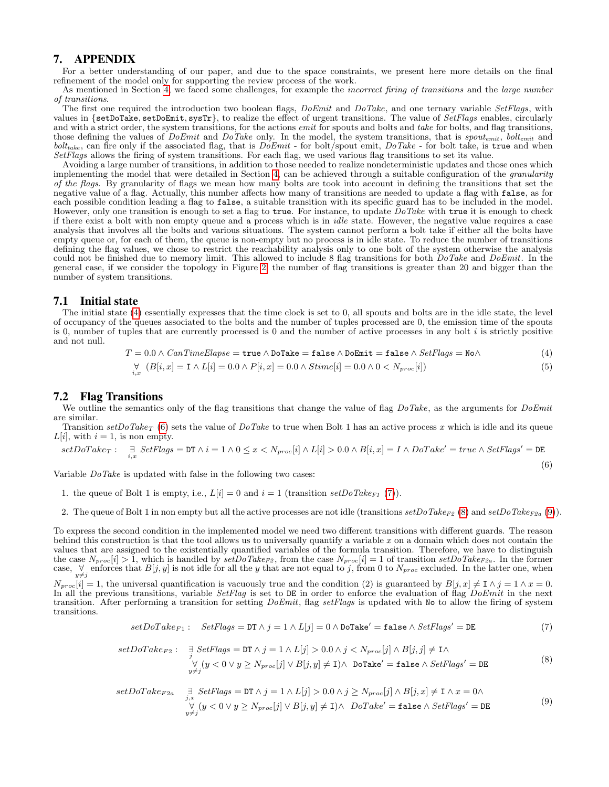# 7. APPENDIX

For a better understanding of our paper, and due to the space constraints, we present here more details on the final refinement of the model only for supporting the review process of the work.

As mentioned in Section [4,](#page-2-1) we faced some challenges, for example the *incorrect firing of transitions* and the *large number* of transitions.

The first one required the introduction two boolean flags, DoEmit and DoTake, and one ternary variable SetFlags, with values in {setDoTake, setDoEmit, sysTr}, to realize the effect of urgent transitions. The value of  $SetFlags$  enables, circularly and with a strict order, the system transitions, for the actions *emit* for spouts and bolts and *take* for bolts, and flag transitions, those defining the values of DoEmit and DoTake only. In the model, the system transitions, that is spoutemit,  $bolt_{emit}$  and  $bolt_{take}$ , can fire only if the associated flag, that is  $DoEmit$  - for bolt/spout emit,  $DoTake$  - for bolt take, is true and when SetFlags allows the firing of system transitions. For each flag, we used various flag transitions to set its value.

Avoiding a large number of transitions, in addition to those needed to realize nondeterministic updates and those ones which implementing the model that were detailed in Section [4,](#page-2-1) can be achieved through a suitable configuration of the granularity of the flags. By granularity of flags we mean how many bolts are took into account in defining the transitions that set the negative value of a flag. Actually, this number affects how many of transitions are needed to update a flag with false, as for each possible condition leading a flag to false, a suitable transition with its specific guard has to be included in the model. However, only one transition is enough to set a flag to true. For instance, to update DoTake with true it is enough to check if there exist a bolt with non empty queue and a process which is in idle state. However, the negative value requires a case analysis that involves all the bolts and various situations. The system cannot perform a bolt take if either all the bolts have empty queue or, for each of them, the queue is non-empty but no process is in idle state. To reduce the number of transitions defining the flag values, we chose to restrict the reachability analysis only to one bolt of the system otherwise the analysis could not be finished due to memory limit. This allowed to include 8 flag transitions for both  $Do$ Take and  $DoEmit$ . In the general case, if we consider the topology in Figure [2,](#page-1-1) the number of flag transitions is greater than 20 and bigger than the number of system transitions.

# 7.1 Initial state

The initial state [\(4\)](#page-4-0) essentially expresses that the time clock is set to 0, all spouts and bolts are in the idle state, the level of occupancy of the queues associated to the bolts and the number of tuples processed are 0, the emission time of the spouts is 0, number of tuples that are currently processed is 0 and the number of active processes in any bolt  $i$  is strictly positive and not null.

$$
T = 0.0 \land CanTimeElapse = \text{true} \land \text{DoTake} = \text{false} \land \text{DoEmit} = \text{false} \land SetFlag = \text{No} \land \tag{4}
$$

<span id="page-4-0"></span>
$$
\bigvee_{i,x} (B[i,x] = \mathbf{I} \wedge L[i] = 0.0 \wedge P[i,x] = 0.0 \wedge Stime[i] = 0.0 \wedge 0 < N_{proc}[i]) \tag{5}
$$

## 7.2 Flag Transitions

We outline the semantics only of the flag transitions that change the value of flag  $Do$ Take, as the arguments for  $DoEmit$ are similar.

Transition  $setDoTake_T$  [\(6\)](#page-4-1) sets the value of  $DoTake$  to true when Bolt 1 has an active process x which is idle and its queue  $L[i]$ , with  $i = 1$ , is non empty.

<span id="page-4-1"></span>
$$
setDoTake_T: \quad \sup_{i,x} \quad SetFlags = \text{DT} \land i = 1 \land 0 \leq x < N_{proc}[i] \land L[i] > 0.0 \land B[i, x] = I \land DoTake' = true \land SetFlags' = \text{DE} \tag{6}
$$

Variable DoTake is updated with false in the following two cases:

- 1. the queue of Bolt 1 is empty, i.e.,  $L[i] = 0$  and  $i = 1$  (transition set Do Take<sub>F1</sub> [\(7\)](#page-4-2)).
- 2. The queue of Bolt 1 in non empty but all the active processes are not idle (transitions  $setDoTake_{F2}(8)$  $setDoTake_{F2}(8)$  and  $setDoTake_{F2}(9)$  $setDoTake_{F2}(9)$ ).

To express the second condition in the implemented model we need two different transitions with different guards. The reason behind this construction is that the tool allows us to universally quantify a variable  $x$  on a domain which does not contain the values that are assigned to the existentially quantified variables of the formula transition. Therefore, we have to distinguish the case  $N_{proc}[i] > 1$ , which is handled by  $setDoTake_{F2}$ , from the case  $N_{proc}[i] = 1$  of transition  $setDoTake_{F2a}$ . In the former case,  $\forall$  enforces that  $B[j, y]$  is not idle for all the y that are not equal to j, from 0 to  $N_{proc}$  excluded. In the latter one, when  $N_{proc}[i] = 1$ , the universal quantification is vacuously true and the condition (2) is guaranteed by  $B[j, x] \neq I \wedge j = I \wedge x = 0$ . In all the previous transitions, variable SetFlag is set to DE in order to enforce the evaluation of flag  $DoEmit$  in the next transition. After performing a transition for setting *DoEmit*, flag setFlags is updated with No to allow the firing of system transitions.

<span id="page-4-2"></span>
$$
setDoTake_{F1}: \quad SetFlags = \text{DT} \land j = 1 \land L[j] = 0 \land \text{DoTake}' = \text{false} \land SetFlags' = \text{DE}
$$
 (7)

<span id="page-4-3"></span>
$$
setDoTake_{F2}: \quad \frac{\exists}{j} \quad SetFlags = \text{DT} \land j = 1 \land L[j] > 0.0 \land j < N_{proc}[j] \land B[j, j] \neq \text{I} \land \newline \frac{\forall}{j} \left( y < 0 \lor y \geq N_{proc}[j] \lor B[j, y] \neq \text{I} \right) \land \quad \text{Dofake'} = \text{false} \land \quad SetFlags' = \text{DE}
$$
\n
$$
(8)
$$

<span id="page-4-4"></span>setDoTake 
$$
F_{2a}
$$
  $\exists$  SetFlags = DT  $\land$  j = 1  $\land$  L[j] > 0.0  $\land$  j  $\geq$   $N_{proc}[j] \land B[j, x] \neq I \land x = 0$   
\n $\forall$  y  $\neq$  (y < 0  $\lor$  y  $\geq$   $N_{proc}[j] \lor B[j, y] \neq I) \land$  DoTake' = false  $\land$  SetFlags' = DE (9)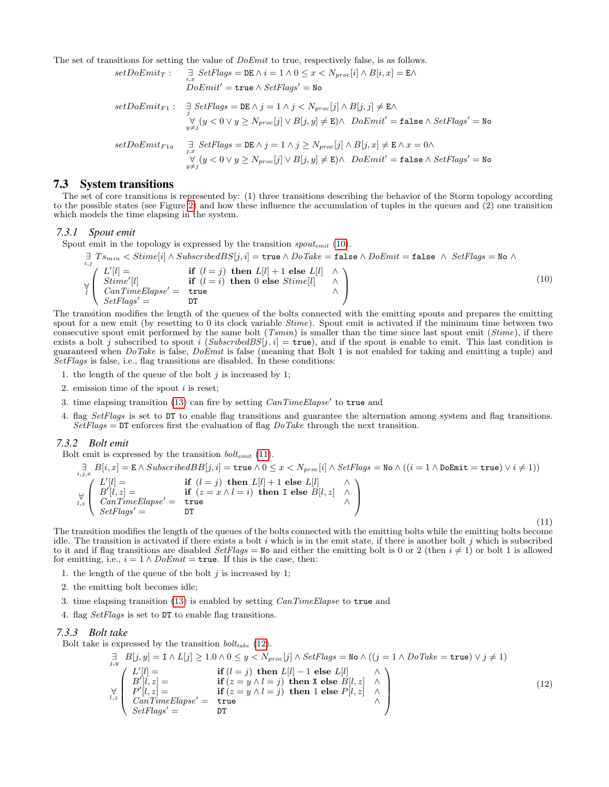The set of transitions for setting the value of  $DoEmit$  to true, respectively false, is as follows.

setDoEmit<sup>T</sup> : ∃ i,x SetFlags = DE ∧ i = 1 ∧ 0 ≤ x < Nproc[i] ∧ B[i, x] = E∧ DoEmit<sup>0</sup> = true ∧ SetFlags<sup>0</sup> = No setDoEmit<sup>F</sup> <sup>1</sup> : ∃ j SetFlags = DE ∧ j = 1 ∧ j < Nproc[j] ∧ B[j, j] 6= E∧ ∀ y6=j (y < 0 ∨ y ≥ Nproc[j] ∨ B[j, y] 6= E)∧ DoEmit<sup>0</sup> = false ∧ SetFlags<sup>0</sup> = No setDoEmit<sup>F</sup> <sup>1</sup><sup>a</sup> ∃ j,x SetFlags = DE ∧ j = 1 ∧ j ≥ Nproc[j] ∧ B[j, x] 6= E ∧ x = 0∧ ∀ y6=j (y < 0 ∨ y ≥ Nproc[j] ∨ B[j, y] 6= E)∧ DoEmit<sup>0</sup> = false ∧ SetFlags<sup>0</sup> = No

#### 7.3 System transitions

The set of core transitions is represented by: (1) three transitions describing the behavior of the Storm topology according to the possible states (see Figure [2\)](#page-1-1) and how these influence the accumulation of tuples in the queues and (2) one transition which models the time elapsing in the system.

#### *7.3.1 Spout emit*

Spout emit in the topology is expressed by the transition  $spout_{emit} (10)$  $spout_{emit} (10)$ .

 $\exists\limits_{i,j} T s_{min} < Stime[i] \wedge SubscribedBS[j,i] = \texttt{true} \wedge DoTake = \texttt{false} \wedge DoEmit = \texttt{false} \ \wedge \ SetFlags = \texttt{No} \wedge \texttt{i}$ 

<span id="page-5-0"></span>
$$
\begin{aligned}\n\forall \begin{pmatrix}\nL'[l] = & \text{if } (l = j) \text{ then } L[l] + 1 \text{ else } L[l] & \wedge \\
Stime'[l] & \text{if } (l = i) \text{ then } 0 \text{ else } Stime[l] & \wedge \\
CanTimeElapse' = & \text{true} & \wedge \\
SetFlags' = & \text{DT}\n\end{pmatrix}\n\end{aligned} (10)
$$

The transition modifies the length of the queues of the bolts connected with the emitting spouts and prepares the emitting spout for a new emit (by resetting to 0 its clock variable *Stime*). Spout emit is activated if the minimum time between two consecutive spout emit performed by the same bolt  $(Tsmin)$  is smaller than the time since last spout emit  $(Stime)$ , if there exists a bolt j subscribed to spout i  $(SubscribedBS[j, i] = \text{true})$ , and if the spout is enable to emit. This last condition is guaranteed when  $DoTake$  is false,  $DoEmit$  is false (meaning that Bolt 1 is not enabled for taking and emitting a tuple) and SetFlags is false, i.e., flag transitions are disabled. In these conditions:

- 1. the length of the queue of the bolt  $j$  is increased by 1;
- 2. emission time of the spout  $i$  is reset;
- 3. time elapsing transition [\(13\)](#page-6-0) can fire by setting  $CanTimeElapse'$  to true and
- 4. flag SetFlags is set to DT to enable flag transitions and guarantee the alternation among system and flag transitions.  $SetFlags = DT$  enforces first the evaluation of flag  $DoTake$  through the next transition.

#### *7.3.2 Bolt emit*

Bolt emit is expressed by the transition  $\textit{bolt}_{emit}$  [\(11\)](#page-5-1).

<span id="page-5-1"></span>
$$
\begin{array}{ll}\n\exists & B[i, x] = \texttt{E} \land SubscribedBB[j, i] = \texttt{true} \land 0 \leq x < N_{proc}[i] \land SetFlags = \texttt{No} \land ((i = 1 \land \texttt{DoEmit} = \texttt{true}) \lor i \neq 1)) \\
\forall & \left( \begin{array}{c} L'[l] = & \textbf{if } (l = j) \textbf{ then } L[l] + 1 \textbf{ else } L[l] < \\ B'[l, z] = & \textbf{if } (z = x \land l = i) \textbf{ then I else } B[l, z] < \\ \textbf{CanTimeElapse'} = & \textbf{true} < \\ \textbf{SetFlags'} = & \textbf{DT}\n\end{array}\n\right\}\n\end{array}
$$

(11)

The transition modifies the length of the queues of the bolts connected with the emitting bolts while the emitting bolts become idle. The transition is activated if there exists a bolt  $i$  which is in the emit state, if there is another bolt  $j$  which is subscribed to it and if flag transitions are disabled SetFlags = No and either the emitting bolt is 0 or 2 (then  $i \neq 1$ ) or bolt 1 is allowed for emitting, i.e.,  $i = 1 \land DoEmit = \text{true}$ . If this is the case, then:

- 1. the length of the queue of the bolt  $j$  is increased by 1;
- 2. the emitting bolt becomes idle;
- 3. time elapsing transition [\(13\)](#page-6-0) is enabled by setting  $CanTimeElapse$  to true and
- 4. flag SetFlags is set to DT to enable flag transitions.

#### *7.3.3 Bolt take*

Bolt take is expressed by the transition  $bolt_{take}$  [\(12\)](#page-5-2).

<span id="page-5-2"></span>
$$
\begin{array}{ll}\n\exists & B[j, y] = \mathbf{I} \wedge L[j] \geq 1.0 \wedge 0 \leq y < N_{proc}[j] \wedge SetFlags = \mathbf{No} \wedge ((j = 1 \wedge DoTake = \mathbf{true}) \vee j \neq 1) \\
\downarrow & \downarrow & \downarrow & \downarrow & \downarrow \\
\forall & P'[l, z] = \text{if } (z = y \wedge l = j) \text{ then } X \text{ else } B[l, z] \wedge \\
\downarrow & & \downarrow & \downarrow \\
\downarrow & & CanTimeElapse' = \text{true} \\
\text{SetFlags}' = \text{DT}\n\end{array} \tag{12}
$$